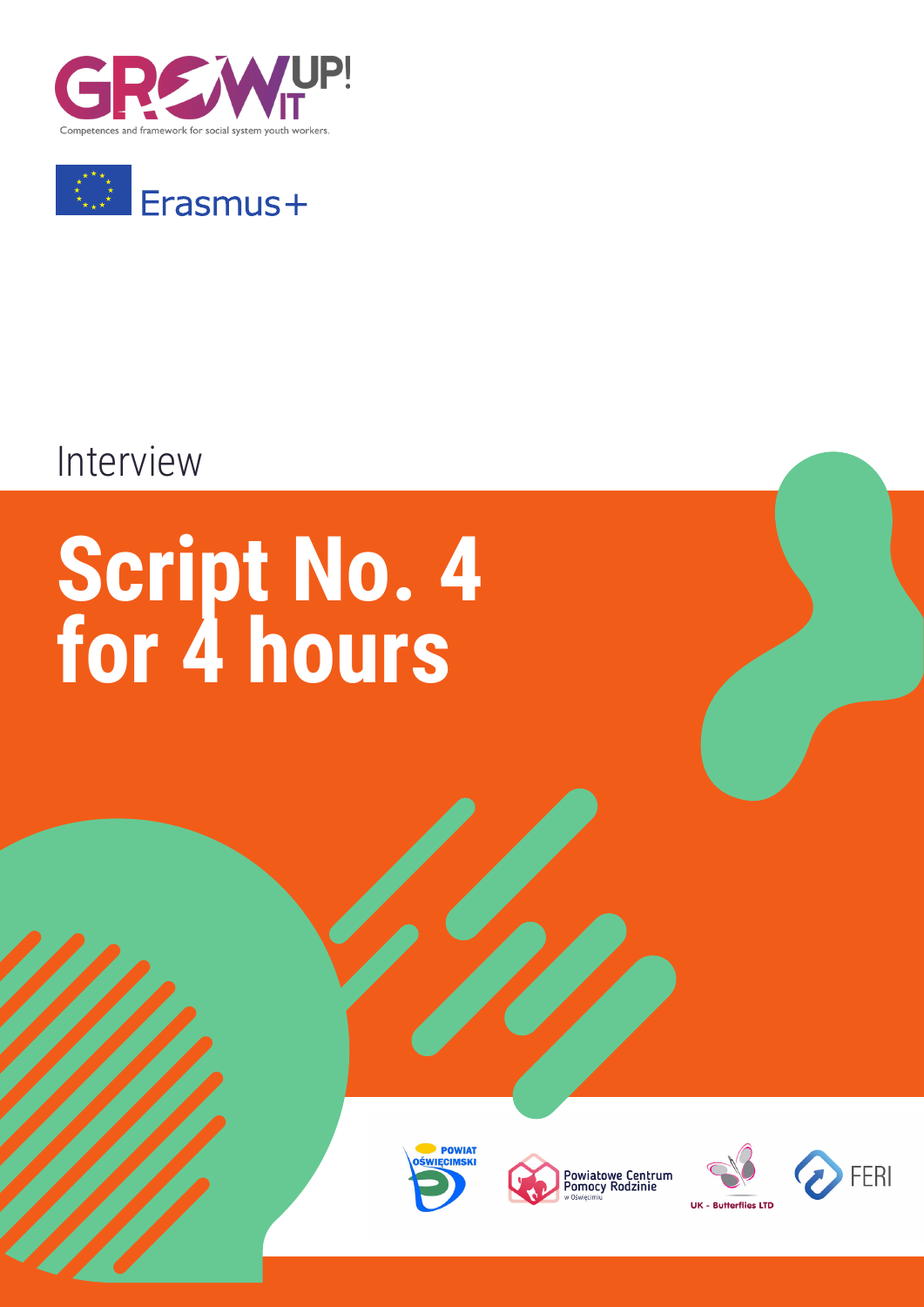



### Interview

# **Script No. 4 for 4 hours**









**UK - Butterflies LTD** 

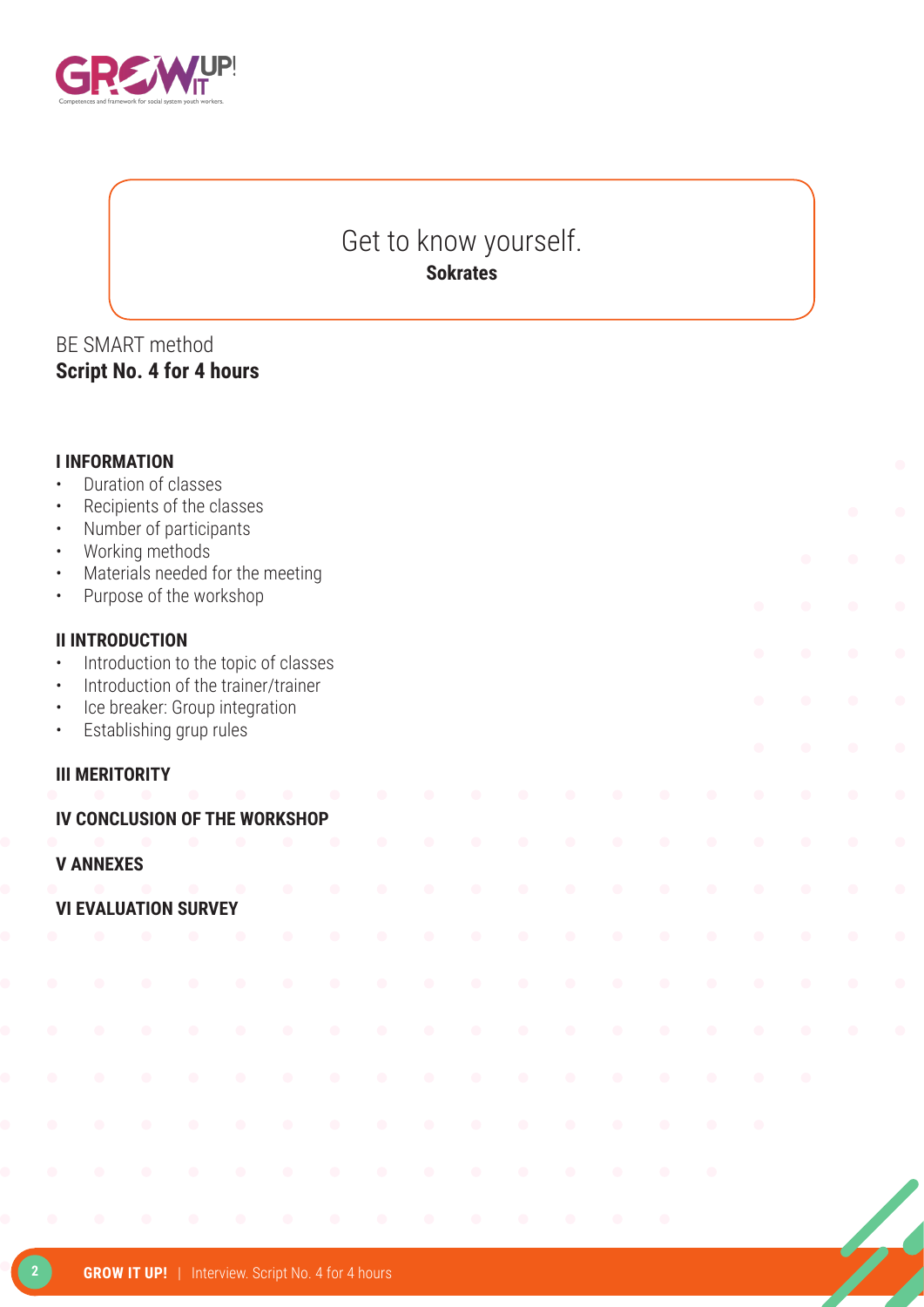

#### Get to know yourself. **Sokrates**

#### BE SMART method **Script No. 4 for 4 hours**

| $\bullet$<br>$\bullet$<br>$\bullet$<br>$\bullet$<br>$\bullet$<br>$\bullet$ |           | <b>I INFORMATION</b>   | Duration of classes<br>Number of participants<br>Working methods | Recipients of the classes<br>Purpose of the workshop | Materials needed for the meeting     |           |           |           |           |           |           |           |           |           |           | $\bullet$ | $\bullet$ |
|----------------------------------------------------------------------------|-----------|------------------------|------------------------------------------------------------------|------------------------------------------------------|--------------------------------------|-----------|-----------|-----------|-----------|-----------|-----------|-----------|-----------|-----------|-----------|-----------|-----------|
| $\bullet$                                                                  |           | <b>II INTRODUCTION</b> |                                                                  |                                                      | Introduction to the topic of classes |           |           |           |           |           |           |           |           |           |           |           |           |
| $\bullet$<br>$\bullet$<br>$\bullet$                                        |           |                        | Establishing grup rules                                          | Ice breaker: Group integration                       | Introduction of the trainer/trainer  |           |           |           |           |           |           |           |           |           |           | $\bullet$ |           |
|                                                                            |           |                        |                                                                  |                                                      |                                      |           |           |           |           |           |           |           |           |           |           | $\bullet$ |           |
|                                                                            |           | <b>III MERITORITY</b>  |                                                                  |                                                      |                                      |           |           |           |           |           |           |           |           |           |           |           |           |
|                                                                            |           |                        |                                                                  |                                                      | IV CONCLUSION OF THE WORKSHOP        |           | $\bullet$ | $\bullet$ |           |           |           |           |           |           |           |           |           |
| <b>V ANNEXES</b>                                                           |           |                        |                                                                  |                                                      |                                      |           |           |           |           |           |           |           |           |           |           |           |           |
|                                                                            |           |                        | <b>VI EVALUATION SURVEY</b>                                      |                                                      | $\bullet$                            | $\bullet$ | $\bullet$ | $\bullet$ | $\bullet$ | $\bullet$ | $\bullet$ | $\bullet$ |           |           |           |           |           |
|                                                                            |           |                        |                                                                  |                                                      | $\blacksquare$                       | $\bullet$ | $\bullet$ | $\bullet$ | $\bullet$ | $\bullet$ | $\bullet$ | $\bullet$ | $\bullet$ | $\bullet$ | $\bullet$ | $\bullet$ |           |
|                                                                            |           |                        | $\bullet$                                                        | $\bullet$                                            | $\bullet$                            | $\bullet$ | $\bullet$ | $\bullet$ | $\bullet$ | $\bullet$ | $\bullet$ | $\bullet$ | $\bullet$ |           |           |           |           |
|                                                                            |           |                        | $\overline{\phantom{a}}$                                         | $\hat{\phantom{a}}$                                  | $\bullet$                            | $\bullet$ | $\bullet$ | $\bullet$ | $\bullet$ | $\bullet$ | $\bullet$ |           |           |           |           |           |           |
|                                                                            | $\bullet$ | $\bullet$              | $\bullet$                                                        | $\bullet$                                            | $\bullet$                            | $\bullet$ | $\bullet$ | $\bullet$ | $\bullet$ | $\bullet$ | $\bullet$ | $\bullet$ |           |           | $\bullet$ |           |           |
|                                                                            |           | $\bullet$              | $\bullet$                                                        | $\bullet$                                            | $\bullet$                            | $\bullet$ | $\bullet$ | $\bullet$ | $\bullet$ | $\bullet$ | $\bullet$ | $\bullet$ |           |           |           |           |           |
|                                                                            |           |                        |                                                                  |                                                      |                                      |           |           |           |           |           |           |           |           |           |           |           |           |
|                                                                            | $\bullet$ | $\bullet$              | $\bullet$                                                        | $\bullet$                                            | $\bullet$                            | $\bullet$ | $\bullet$ | $\bullet$ | $\bullet$ | $\bullet$ | $\bullet$ | $\bullet$ | $\bullet$ |           |           |           |           |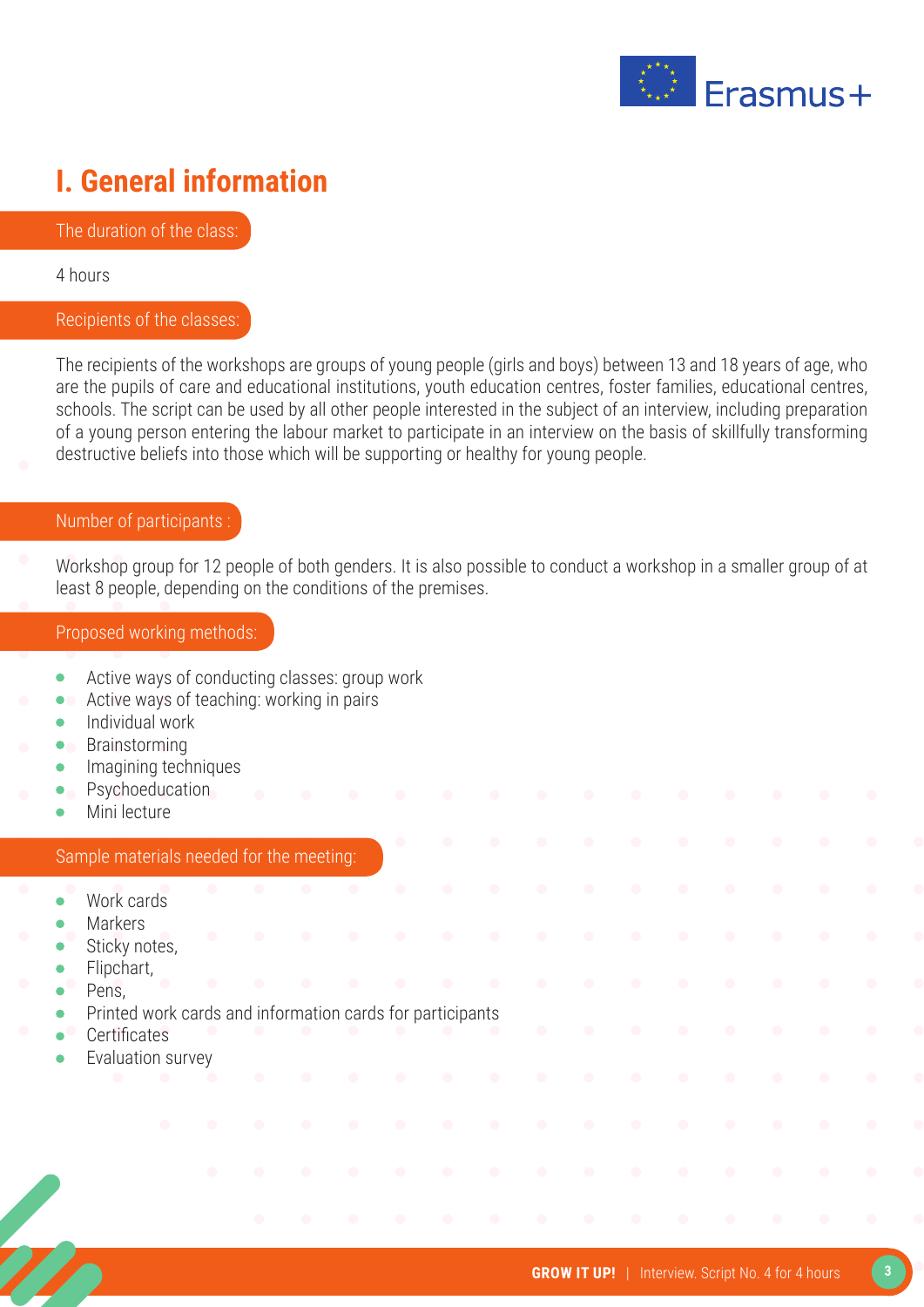

### **I. General information**

The duration of the class:

4 hours

#### Recipients of the classes:

The recipients of the workshops are groups of young people (girls and boys) between 13 and 18 years of age, who are the pupils of care and educational institutions, youth education centres, foster families, educational centres, schools. The script can be used by all other people interested in the subject of an interview, including preparation of a young person entering the labour market to participate in an interview on the basis of skillfully transforming destructive beliefs into those which will be supporting or healthy for young people.

#### Number of participants :

Workshop group for 12 people of both genders. It is also possible to conduct a workshop in a smaller group of at least 8 people, depending on the conditions of the premises.

#### Proposed working methods:

- Active ways of conducting classes: group work  $\bullet$
- Active ways of teaching: working in pairs  $\bullet$
- Individual work  $\bullet$
- Brainstorming
- Imagining techniques
- Psychoeducation
- Mini lecture

#### Sample materials needed for the meeting:

- Work cards
- Markers
- Sticky notes,
- Flipchart,
- Pens,
- Printed work cards and information cards for participants
- **Certificates**
- Evaluation survey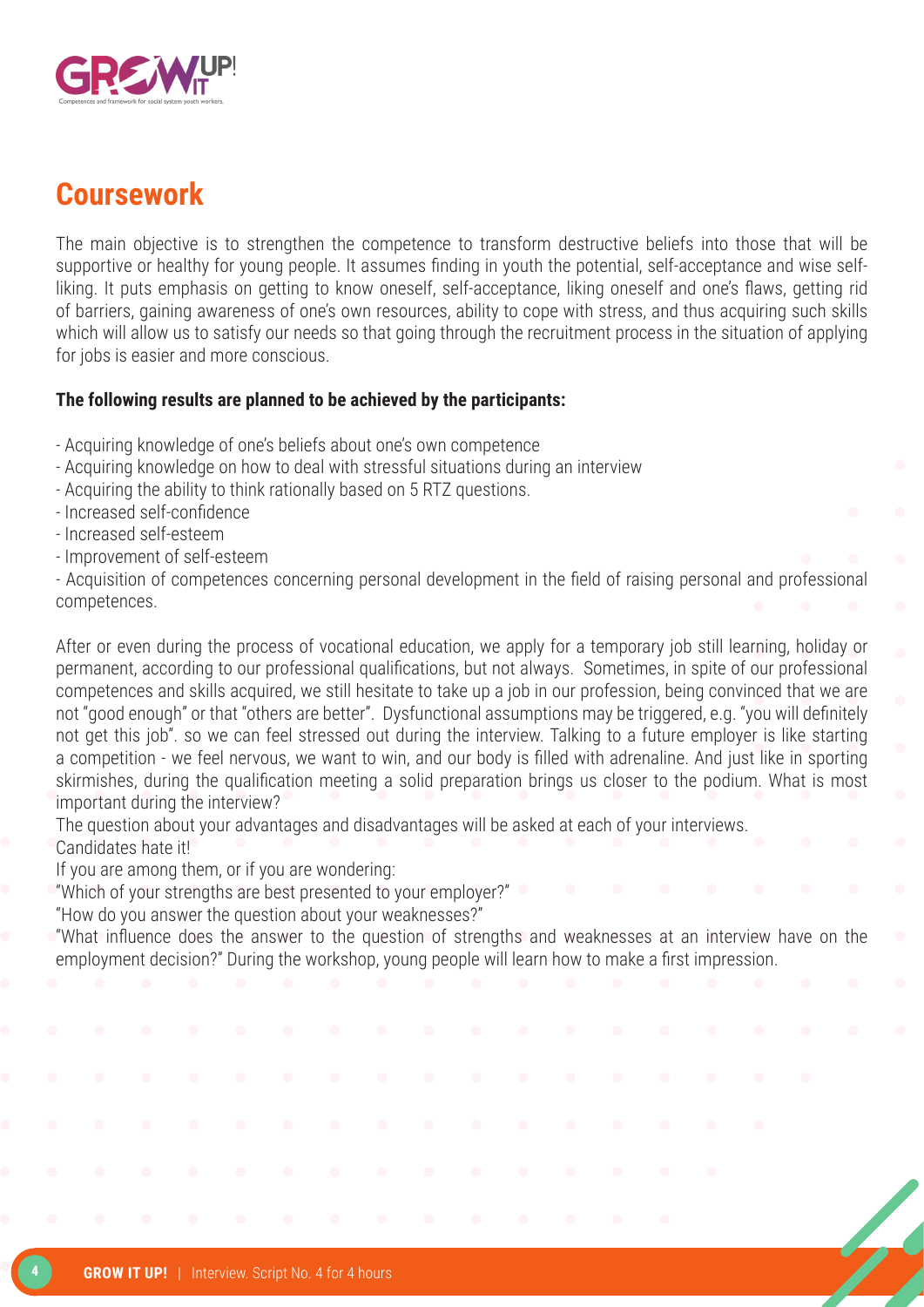

#### **Coursework**

The main objective is to strengthen the competence to transform destructive beliefs into those that will be supportive or healthy for young people. It assumes finding in youth the potential, self-acceptance and wise selfliking. It puts emphasis on getting to know oneself, self-acceptance, liking oneself and one's flaws, getting rid of barriers, gaining awareness of one's own resources, ability to cope with stress, and thus acquiring such skills which will allow us to satisfy our needs so that going through the recruitment process in the situation of applying for jobs is easier and more conscious.

#### **The following results are planned to be achieved by the participants:**

- Acquiring knowledge of one's beliefs about one's own competence
- Acquiring knowledge on how to deal with stressful situations during an interview
- Acquiring the ability to think rationally based on 5 RTZ questions.
- Increased self-confidence
- Increased self-esteem
- Improvement of self-esteem

- Acquisition of competences concerning personal development in the field of raising personal and professional competences.

After or even during the process of vocational education, we apply for a temporary job still learning, holiday or permanent, according to our professional qualifications, but not always. Sometimes, in spite of our professional competences and skills acquired, we still hesitate to take up a job in our profession, being convinced that we are not "good enough" or that "others are better". Dysfunctional assumptions may be triggered, e.g. "you will definitely not get this job". so we can feel stressed out during the interview. Talking to a future employer is like starting a competition - we feel nervous, we want to win, and our body is filled with adrenaline. And just like in sporting skirmishes, during the qualification meeting a solid preparation brings us closer to the podium. What is most important during the interview?

The question about your advantages and disadvantages will be asked at each of your interviews. Candidates hate it!

If you are among them, or if you are wondering:

"Which of your strengths are best presented to your employer?"

"How do you answer the question about your weaknesses?"

"What influence does the answer to the question of strengths and weaknesses at an interview have on the employment decision?" During the workshop, young people will learn how to make a first impression.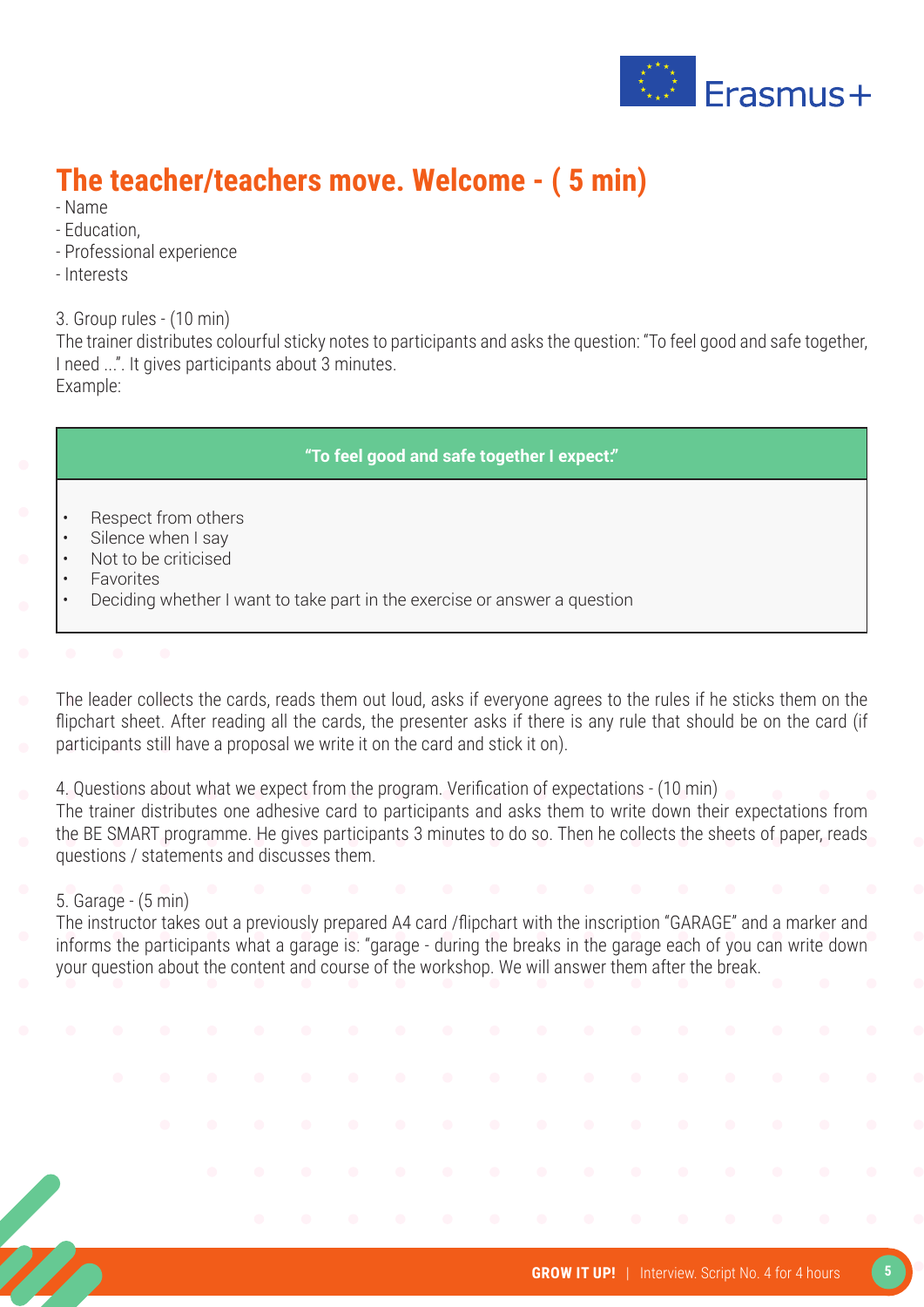

### **The teacher/teachers move. Welcome - ( 5 min)**

- Name
- Education,
- Professional experience
- Interests

3. Group rules - (10 min)

The trainer distributes colourful sticky notes to participants and asks the question: "To feel good and safe together, I need ...". It gives participants about 3 minutes. Example:

#### **"To feel good and safe together I expect:"**

- Respect from others
- Silence when I say
- Not to be criticised
- **Favorites**
- Deciding whether I want to take part in the exercise or answer a question
- 
- The leader collects the cards, reads them out loud, asks if everyone agrees to the rules if he sticks them on the flipchart sheet. After reading all the cards, the presenter asks if there is any rule that should be on the card (if participants still have a proposal we write it on the card and stick it on).
- 4. Questions about what we expect from the program. Verification of expectations (10 min)
- The trainer distributes one adhesive card to participants and asks them to write down their expectations from the BE SMART programme. He gives participants 3 minutes to do so. Then he collects the sheets of paper, reads questions / statements and discusses them.

#### 5. Garage - (5 min)

The instructor takes out a previously prepared A4 card /flipchart with the inscription "GARAGE" and a marker and informs the participants what a garage is: "garage - during the breaks in the garage each of you can write down your question about the content and course of the workshop. We will answer them after the break.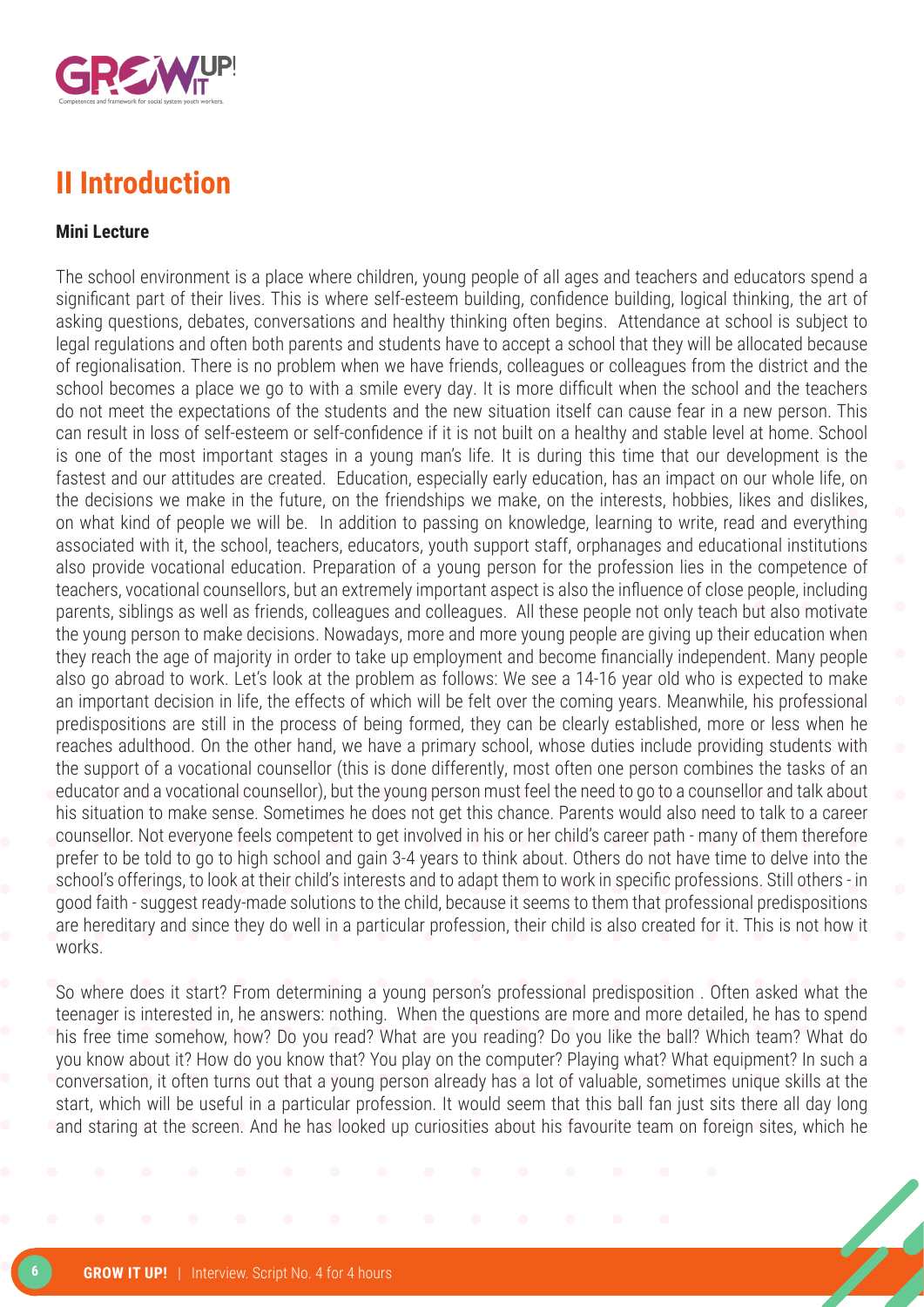

#### **II Introduction**

#### **Mini Lecture**

The school environment is a place where children, young people of all ages and teachers and educators spend a significant part of their lives. This is where self-esteem building, confidence building, logical thinking, the art of asking questions, debates, conversations and healthy thinking often begins. Attendance at school is subject to legal regulations and often both parents and students have to accept a school that they will be allocated because of regionalisation. There is no problem when we have friends, colleagues or colleagues from the district and the school becomes a place we go to with a smile every day. It is more difficult when the school and the teachers do not meet the expectations of the students and the new situation itself can cause fear in a new person. This can result in loss of self-esteem or self-confidence if it is not built on a healthy and stable level at home. School is one of the most important stages in a young man's life. It is during this time that our development is the fastest and our attitudes are created. Education, especially early education, has an impact on our whole life, on the decisions we make in the future, on the friendships we make, on the interests, hobbies, likes and dislikes, on what kind of people we will be. In addition to passing on knowledge, learning to write, read and everything associated with it, the school, teachers, educators, youth support staff, orphanages and educational institutions also provide vocational education. Preparation of a young person for the profession lies in the competence of teachers, vocational counsellors, but an extremely important aspect is also the influence of close people, including parents, siblings as well as friends, colleagues and colleagues. All these people not only teach but also motivate the young person to make decisions. Nowadays, more and more young people are giving up their education when they reach the age of majority in order to take up employment and become financially independent. Many people also go abroad to work. Let's look at the problem as follows: We see a 14-16 year old who is expected to make an important decision in life, the effects of which will be felt over the coming years. Meanwhile, his professional predispositions are still in the process of being formed, they can be clearly established, more or less when he reaches adulthood. On the other hand, we have a primary school, whose duties include providing students with the support of a vocational counsellor (this is done differently, most often one person combines the tasks of an educator and a vocational counsellor), but the young person must feel the need to go to a counsellor and talk about his situation to make sense. Sometimes he does not get this chance. Parents would also need to talk to a career counsellor. Not everyone feels competent to get involved in his or her child's career path - many of them therefore prefer to be told to go to high school and gain 3-4 years to think about. Others do not have time to delve into the school's offerings, to look at their child's interests and to adapt them to work in specific professions. Still others - in good faith - suggest ready-made solutions to the child, because it seems to them that professional predispositions are hereditary and since they do well in a particular profession, their child is also created for it. This is not how it works.

So where does it start? From determining a young person's professional predisposition . Often asked what the teenager is interested in, he answers: nothing. When the questions are more and more detailed, he has to spend his free time somehow, how? Do you read? What are you reading? Do you like the ball? Which team? What do you know about it? How do you know that? You play on the computer? Playing what? What equipment? In such a conversation, it often turns out that a young person already has a lot of valuable, sometimes unique skills at the start, which will be useful in a particular profession. It would seem that this ball fan just sits there all day long and staring at the screen. And he has looked up curiosities about his favourite team on foreign sites, which he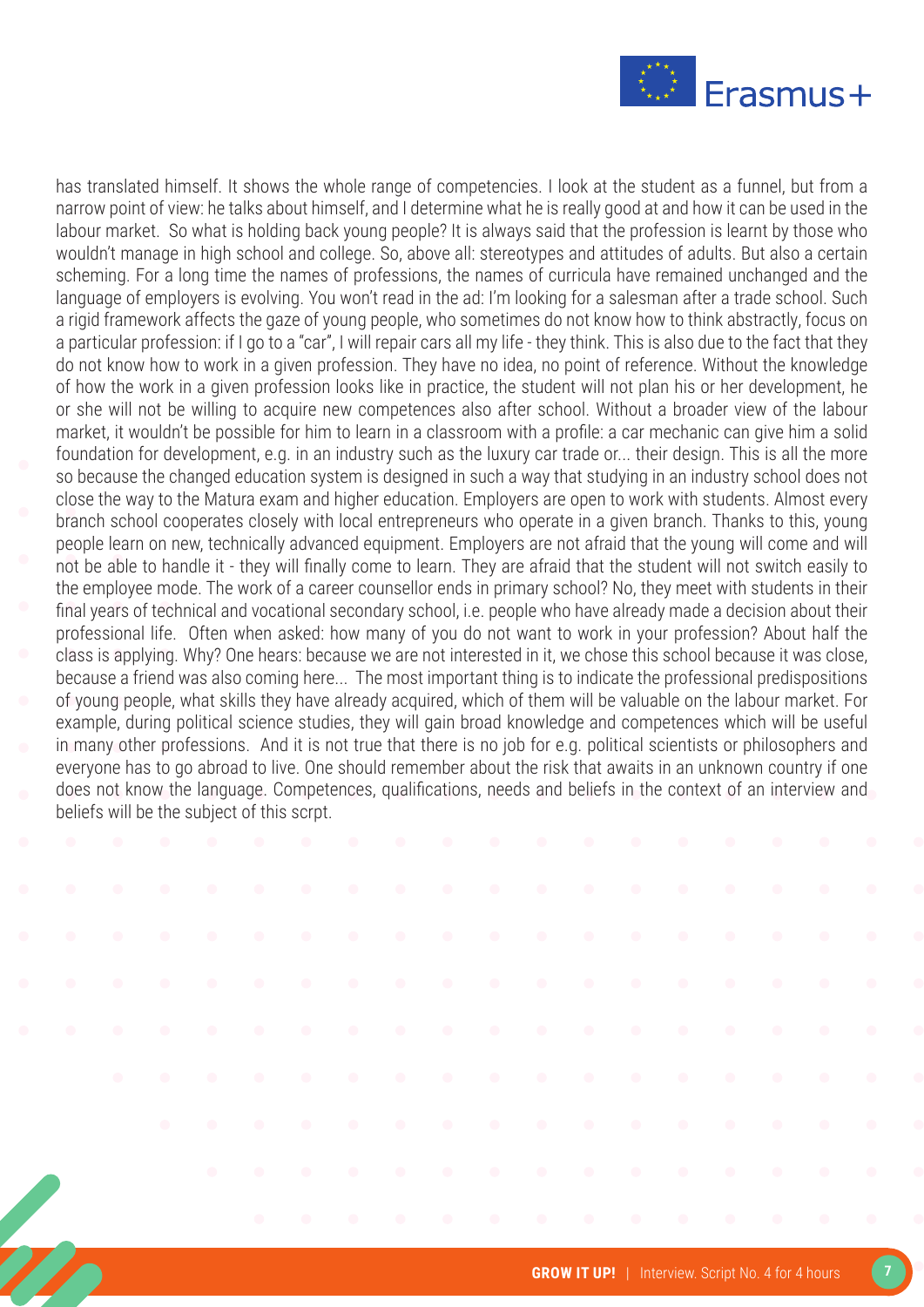

has translated himself. It shows the whole range of competencies. I look at the student as a funnel, but from a narrow point of view: he talks about himself, and I determine what he is really good at and how it can be used in the labour market. So what is holding back young people? It is always said that the profession is learnt by those who wouldn't manage in high school and college. So, above all: stereotypes and attitudes of adults. But also a certain scheming. For a long time the names of professions, the names of curricula have remained unchanged and the language of employers is evolving. You won't read in the ad: I'm looking for a salesman after a trade school. Such a rigid framework affects the gaze of young people, who sometimes do not know how to think abstractly, focus on a particular profession: if I go to a "car", I will repair cars all my life - they think. This is also due to the fact that they do not know how to work in a given profession. They have no idea, no point of reference. Without the knowledge of how the work in a given profession looks like in practice, the student will not plan his or her development, he or she will not be willing to acquire new competences also after school. Without a broader view of the labour market, it wouldn't be possible for him to learn in a classroom with a profile: a car mechanic can give him a solid foundation for development, e.g. in an industry such as the luxury car trade or... their design. This is all the more so because the changed education system is designed in such a way that studying in an industry school does not close the way to the Matura exam and higher education. Employers are open to work with students. Almost every branch school cooperates closely with local entrepreneurs who operate in a given branch. Thanks to this, young people learn on new, technically advanced equipment. Employers are not afraid that the young will come and will not be able to handle it - they will finally come to learn. They are afraid that the student will not switch easily to the employee mode. The work of a career counsellor ends in primary school? No, they meet with students in their final years of technical and vocational secondary school, i.e. people who have already made a decision about their professional life. Often when asked: how many of you do not want to work in your profession? About half the class is applying. Why? One hears: because we are not interested in it, we chose this school because it was close, because a friend was also coming here... The most important thing is to indicate the professional predispositions of young people, what skills they have already acquired, which of them will be valuable on the labour market. For example, during political science studies, they will gain broad knowledge and competences which will be useful in many other professions. And it is not true that there is no job for e.g. political scientists or philosophers and everyone has to go abroad to live. One should remember about the risk that awaits in an unknown country if one does not know the language. Competences, qualifications, needs and beliefs in the context of an interview and beliefs will be the subject of this scrpt.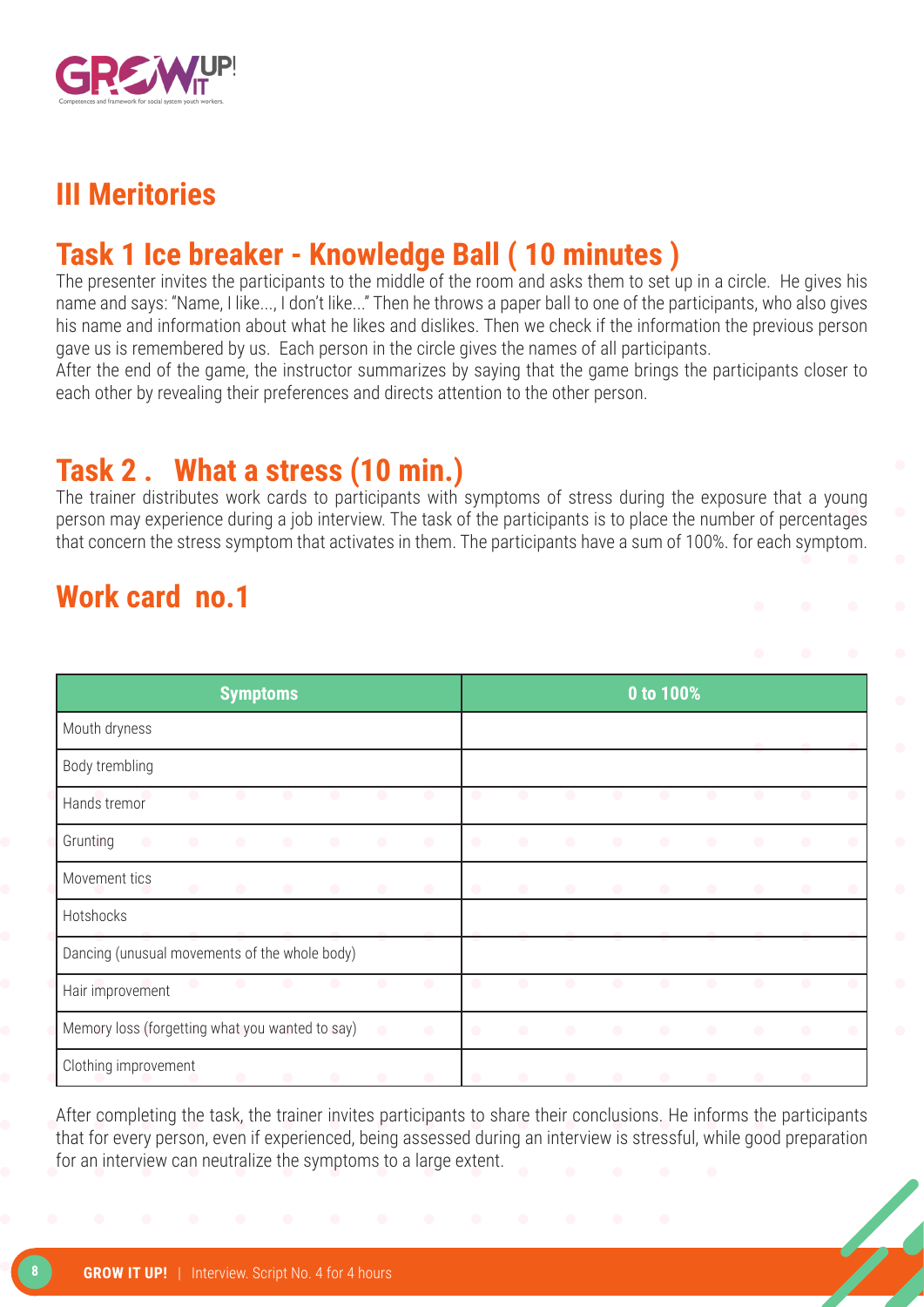

#### **III Meritories**

### **Task 1 Ice breaker - Knowledge Ball ( 10 minutes )**

The presenter invites the participants to the middle of the room and asks them to set up in a circle. He gives his name and says: "Name, I like..., I don't like..." Then he throws a paper ball to one of the participants, who also gives his name and information about what he likes and dislikes. Then we check if the information the previous person gave us is remembered by us. Each person in the circle gives the names of all participants.

After the end of the game, the instructor summarizes by saying that the game brings the participants closer to each other by revealing their preferences and directs attention to the other person.

### **Task 2 . What a stress (10 min.)**

The trainer distributes work cards to participants with symptoms of stress during the exposure that a young person may experience during a job interview. The task of the participants is to place the number of percentages that concern the stress symptom that activates in them. The participants have a sum of 100%. for each symptom.

### **Work card no.1**

| <b>Symptoms</b>                                 |           |           |           |           |           |           |           | 0 to 100% |           |           |           |           |           |                          |           |  |
|-------------------------------------------------|-----------|-----------|-----------|-----------|-----------|-----------|-----------|-----------|-----------|-----------|-----------|-----------|-----------|--------------------------|-----------|--|
| Mouth dryness                                   |           |           |           |           |           |           |           |           |           |           |           |           |           |                          |           |  |
| Body trembling                                  |           |           |           |           |           |           |           |           |           |           |           |           |           |                          |           |  |
| Hands tremor                                    | $\bullet$ | $\bullet$ |           |           | O         | $\bullet$ |           | $\bullet$ |           | O         | œ         | $\bullet$ |           |                          |           |  |
| Grunting<br>$\bullet$                           | $\bullet$ | $\bullet$ | $\bullet$ | $\bullet$ | $\bullet$ | $\bullet$ | $\bullet$ | $\bullet$ | $\bullet$ | $\bullet$ | $\bullet$ | $\bullet$ | $\bullet$ | $\bullet$                | $\bullet$ |  |
| Movement tics                                   | $\bullet$ | $\bullet$ | $\bullet$ | $\bullet$ | $\bullet$ | $\bullet$ | $\bullet$ | $\bullet$ | $\bullet$ | $\bullet$ | $\bullet$ | $\bullet$ | $\bullet$ | $\bullet$                |           |  |
| Hotshocks                                       |           |           |           |           |           |           |           |           |           |           |           |           |           |                          |           |  |
| Dancing (unusual movements of the whole body)   |           |           |           |           |           |           |           |           |           |           |           |           |           |                          |           |  |
| Hair improvement                                | $\bullet$ | $\bullet$ | $\bullet$ | $\bullet$ | $\bullet$ | $\bullet$ | O         | $\bullet$ | $\bullet$ | $\bullet$ | $\bullet$ | $\bullet$ | $\bullet$ | $\bullet$                |           |  |
| Memory loss (forgetting what you wanted to say) |           |           |           |           | $\bullet$ | $\bullet$ | $\bullet$ | $\bullet$ | $\bullet$ | $\bullet$ | $\bullet$ | $\bullet$ | $\bullet$ |                          | $\bullet$ |  |
| Clothing improvement                            |           | $\bullet$ | $\bullet$ | $\bullet$ | $\bullet$ | $\bullet$ | $\bullet$ | $\bullet$ |           | $\bullet$ | $\bullet$ |           |           | $\overline{\phantom{a}}$ |           |  |

After completing the task, the trainer invites participants to share their conclusions. He informs the participants that for every person, even if experienced, being assessed during an interview is stressful, while good preparation for an interview can neutralize the symptoms to a large extent.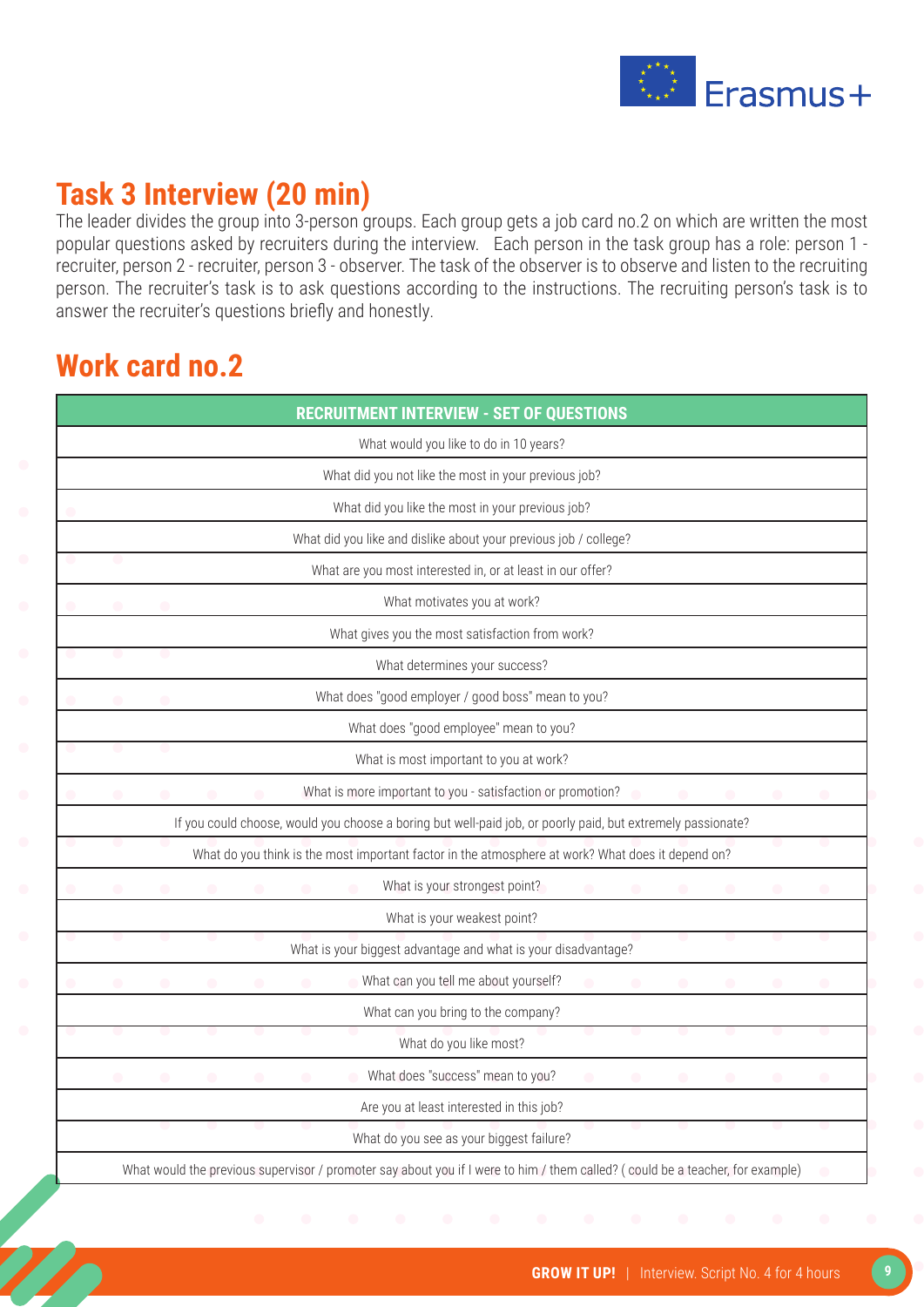

### **Task 3 Interview (20 min)**

The leader divides the group into 3-person groups. Each group gets a job card no.2 on which are written the most popular questions asked by recruiters during the interview. Each person in the task group has a role: person 1 recruiter, person 2 - recruiter, person 3 - observer. The task of the observer is to observe and listen to the recruiting person. The recruiter's task is to ask questions according to the instructions. The recruiting person's task is to answer the recruiter's questions briefly and honestly.

#### **Work card no.2**

|  |  |  |  |                                  | What would you like to do in 10 years?                                                                      |  |  |  |
|--|--|--|--|----------------------------------|-------------------------------------------------------------------------------------------------------------|--|--|--|
|  |  |  |  |                                  | What did you not like the most in your previous job?                                                        |  |  |  |
|  |  |  |  |                                  | What did you like the most in your previous job?                                                            |  |  |  |
|  |  |  |  |                                  | What did you like and dislike about your previous job / college?                                            |  |  |  |
|  |  |  |  |                                  | What are you most interested in, or at least in our offer?                                                  |  |  |  |
|  |  |  |  | What motivates you at work?      |                                                                                                             |  |  |  |
|  |  |  |  |                                  | What gives you the most satisfaction from work?                                                             |  |  |  |
|  |  |  |  | What determines your success?    |                                                                                                             |  |  |  |
|  |  |  |  |                                  | What does "good employer / good boss" mean to you?                                                          |  |  |  |
|  |  |  |  |                                  | What does "good employee" mean to you?                                                                      |  |  |  |
|  |  |  |  |                                  | What is most important to you at work?                                                                      |  |  |  |
|  |  |  |  |                                  | What is more important to you - satisfaction or promotion?                                                  |  |  |  |
|  |  |  |  |                                  | If you could choose, would you choose a boring but well-paid job, or poorly paid, but extremely passionate? |  |  |  |
|  |  |  |  |                                  | What do you think is the most important factor in the atmosphere at work? What does it depend on?           |  |  |  |
|  |  |  |  | What is your strongest point?    |                                                                                                             |  |  |  |
|  |  |  |  | What is your weakest point?      |                                                                                                             |  |  |  |
|  |  |  |  |                                  | What is your biggest advantage and what is your disadvantage?                                               |  |  |  |
|  |  |  |  |                                  | What can you tell me about yourself?                                                                        |  |  |  |
|  |  |  |  |                                  | What can you bring to the company?                                                                          |  |  |  |
|  |  |  |  | What do you like most?           |                                                                                                             |  |  |  |
|  |  |  |  | What does "success" mean to you? |                                                                                                             |  |  |  |
|  |  |  |  |                                  | Are you at least interested in this job?                                                                    |  |  |  |
|  |  |  |  |                                  | What do you see as your biggest failure?                                                                    |  |  |  |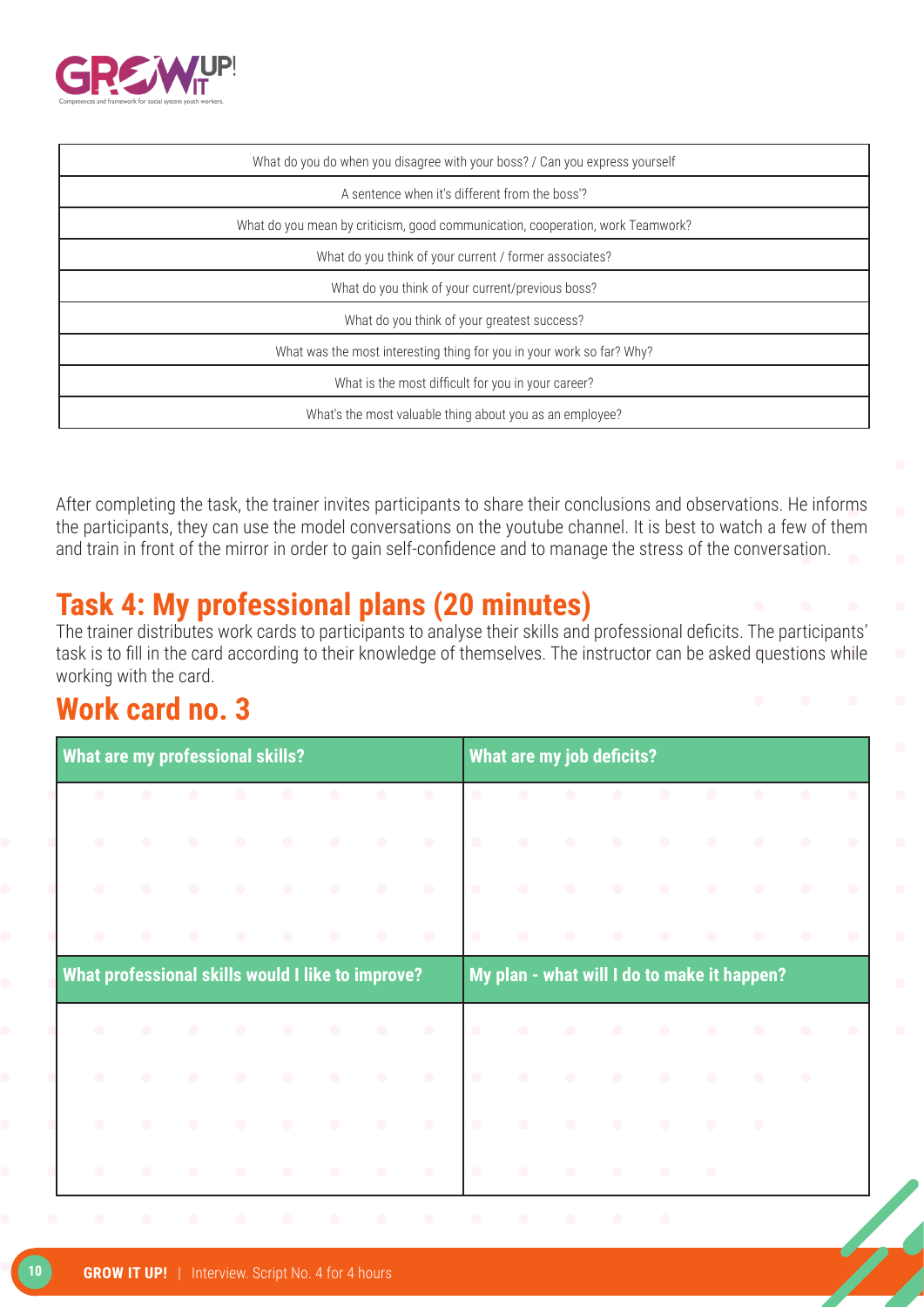

| What do you do when you disagree with your boss? / Can you express yourself    |
|--------------------------------------------------------------------------------|
| A sentence when it's different from the boss'?                                 |
| What do you mean by criticism, good communication, cooperation, work Teamwork? |
| What do you think of your current / former associates?                         |
| What do you think of your current/previous boss?                               |
| What do you think of your greatest success?                                    |
| What was the most interesting thing for you in your work so far? Why?          |
| What is the most difficult for you in your career?                             |
| What's the most valuable thing about you as an employee?                       |

After completing the task, the trainer invites participants to share their conclusions and observations. He informs the participants, they can use the model conversations on the youtube channel. It is best to watch a few of them and train in front of the mirror in order to gain self-confidence and to manage the stress of the conversation.

### **Task 4: My professional plans (20 minutes)**

The trainer distributes work cards to participants to analyse their skills and professional deficits. The participants' task is to fill in the card according to their knowledge of themselves. The instructor can be asked questions while working with the card.

### **Work card no. 3**

| <b>What are my professional skills?</b> |                                                   |           |           |           |           |           |           | What are my job deficits? |                                             |           |           |           |           |           |                                                   |           |  |  |
|-----------------------------------------|---------------------------------------------------|-----------|-----------|-----------|-----------|-----------|-----------|---------------------------|---------------------------------------------|-----------|-----------|-----------|-----------|-----------|---------------------------------------------------|-----------|--|--|
| $\bullet$                               | $\bullet$                                         |           |           |           | $\bullet$ | $\bullet$ | $\bullet$ | $\bullet$                 | $\bullet$                                   |           |           | $\bullet$ | $\bullet$ | $\bullet$ |                                                   |           |  |  |
| $\bullet$                               | $\begin{array}{c} \bullet \\ \bullet \end{array}$ | $\bullet$ | $\bullet$ | $\bullet$ | $\bullet$ | $\bullet$ | $\bullet$ | $\bullet$                 | $\bullet$                                   | $\bullet$ | $\bullet$ | $\bullet$ | $\bullet$ | $\bullet$ | $\bullet$                                         | $\bullet$ |  |  |
| $\bullet$                               | $\bullet$                                         | $\bullet$ |           | $\bullet$ | $\bullet$ | $\bullet$ | $\bullet$ | $\bullet$                 | $\bullet$                                   | $\bullet$ | $\bullet$ |           | $\bullet$ | $\bullet$ | $\begin{array}{c} \bullet \\ \bullet \end{array}$ | $\bullet$ |  |  |
| $\bullet$                               | $\bullet$                                         | $\bullet$ | $\bullet$ | $\bullet$ | $\bullet$ | $\bullet$ | $\bullet$ | $\bullet$                 | $\bullet$                                   | $\bullet$ |           | $\bullet$ | $\bullet$ | $\bullet$ | $\bullet$                                         | $\bullet$ |  |  |
|                                         | What professional skills would I like to improve? |           |           |           |           |           |           |                           | My plan - what will I do to make it happen? |           |           |           |           |           |                                                   |           |  |  |
| $\bullet$                               | $\bullet$                                         | $\bullet$ | $\bullet$ | $\bullet$ | $\bullet$ | $\bullet$ | $\bullet$ | $\bullet$                 | $\bullet$                                   | $\bullet$ | $\bullet$ | $\bullet$ | $\bullet$ | $\bullet$ | $\bullet$                                         | $\bullet$ |  |  |
| $\bullet$                               | $\bullet$                                         | $\bullet$ |           | $\bullet$ | $\bullet$ | $\bullet$ | $\bullet$ | $\bullet$                 | $\bullet$                                   | $\bullet$ | $\bullet$ |           | $\bullet$ | $\bullet$ | $\bullet$                                         |           |  |  |
| $\bullet$                               | $\bullet$                                         |           |           | $\bullet$ | $\bullet$ | $\bullet$ | $\bullet$ | $\bullet$                 | $\bullet$                                   | $\bullet$ | $\bullet$ | $\bullet$ | $\bullet$ | $\bullet$ |                                                   |           |  |  |
| $\bullet$                               | $\bullet$                                         | $\bullet$ | $\bullet$ | $\bullet$ | $\bullet$ | $\bullet$ |           |                           | $\bullet$                                   | $\bullet$ | $\bullet$ | $\bullet$ | $\bullet$ |           |                                                   |           |  |  |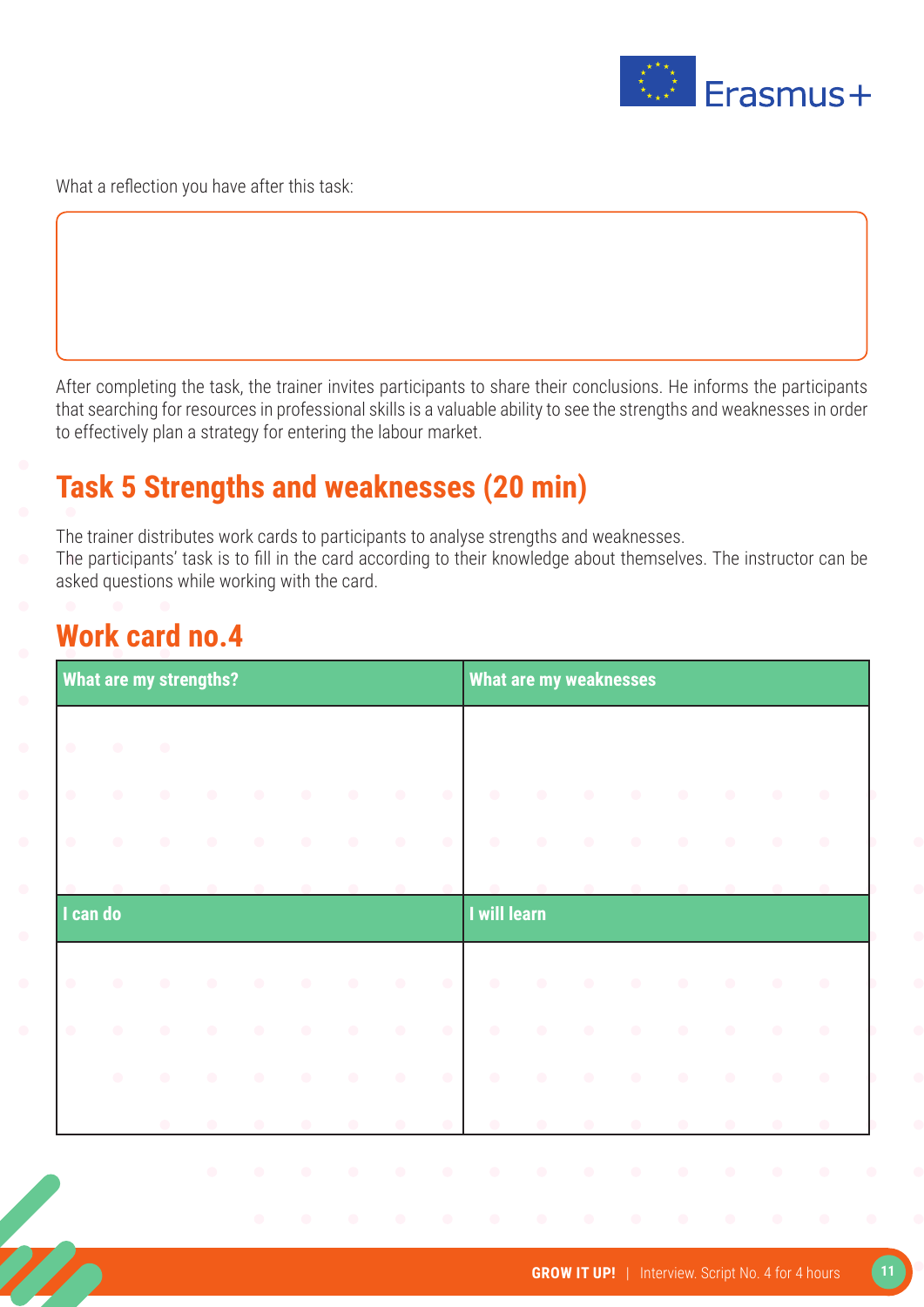

What a reflection you have after this task:

After completing the task, the trainer invites participants to share their conclusions. He informs the participants that searching for resources in professional skills is a valuable ability to see the strengths and weaknesses in order to effectively plan a strategy for entering the labour market.

### **Task 5 Strengths and weaknesses (20 min)**

The trainer distributes work cards to participants to analyse strengths and weaknesses.

The participants' task is to fill in the card according to their knowledge about themselves. The instructor can be asked questions while working with the card.

#### **Work card no.4**

| What are my strengths? |           |           |           |           |           |            |            |           |              | <b>What are my weaknesses</b> |           |           |           |           |           |           |  |  |  |
|------------------------|-----------|-----------|-----------|-----------|-----------|------------|------------|-----------|--------------|-------------------------------|-----------|-----------|-----------|-----------|-----------|-----------|--|--|--|
| $\bullet$              | $\bullet$ | $\bullet$ |           |           |           |            |            |           |              |                               |           |           |           |           |           |           |  |  |  |
| $\bullet$              | $\bullet$ | $\bullet$ | $\bullet$ | $\bullet$ | $\bullet$ | $\bullet$  | $\bigcirc$ | $\bullet$ | $\bullet$    | $\bullet$                     | $\bullet$ | $\bullet$ | $\bullet$ | $\bullet$ | $\bullet$ | $\bullet$ |  |  |  |
| $\bullet$              | $\bullet$ | $\bullet$ | $\bullet$ | $\bullet$ | $\bullet$ | $\bigcirc$ | $\bullet$  | $\bullet$ | $\bullet$    | $\bullet$                     | $\bullet$ | $\bullet$ | $\bullet$ | $\bullet$ | $\bullet$ | $\bullet$ |  |  |  |
|                        |           |           |           |           |           |            |            |           |              |                               |           |           |           |           |           |           |  |  |  |
| I can do               |           |           |           |           |           |            |            |           | I will learn |                               |           |           |           |           |           |           |  |  |  |
| $\bullet$              | $\bullet$ | $\bullet$ | $\bullet$ | $\bullet$ | $\bullet$ | $\bullet$  | $\bullet$  | $\bullet$ | $\bullet$    | $\bullet$                     | $\bullet$ | $\bullet$ | $\bullet$ | $\bullet$ | $\bullet$ | $\bullet$ |  |  |  |
| $\bullet$              | $\bullet$ | $\bullet$ | $\bullet$ | $\bullet$ | $\bullet$ | $\bullet$  | $\bullet$  | $\bullet$ | $\bullet$    | $\bullet$                     | $\bullet$ | $\bullet$ | $\bullet$ | $\bullet$ | $\bullet$ | $\bullet$ |  |  |  |
|                        | $\bullet$ | $\bullet$ | $\bullet$ | $\bullet$ | $\bullet$ | $\bullet$  | $\bigcirc$ | $\bullet$ | $\bullet$    | $\bullet$                     | $\bullet$ | $\bullet$ | $\bullet$ | $\bullet$ | $\bullet$ | $\bullet$ |  |  |  |
|                        |           | $\bullet$ | $\bullet$ | $\bullet$ | $\bullet$ | $\bullet$  | $\bullet$  | $\bullet$ | $\bullet$    |                               | $\bullet$ | $\bullet$ | $\bullet$ | $\bullet$ | $\bullet$ | $\bullet$ |  |  |  |
|                        |           |           | $\bullet$ | $\bullet$ | $\bullet$ | $\bullet$  | $\bullet$  | $\bullet$ | $\bullet$    | $\bullet$                     | $\bullet$ | $\bullet$ | $\bullet$ | $\bullet$ | $\bullet$ | $\bullet$ |  |  |  |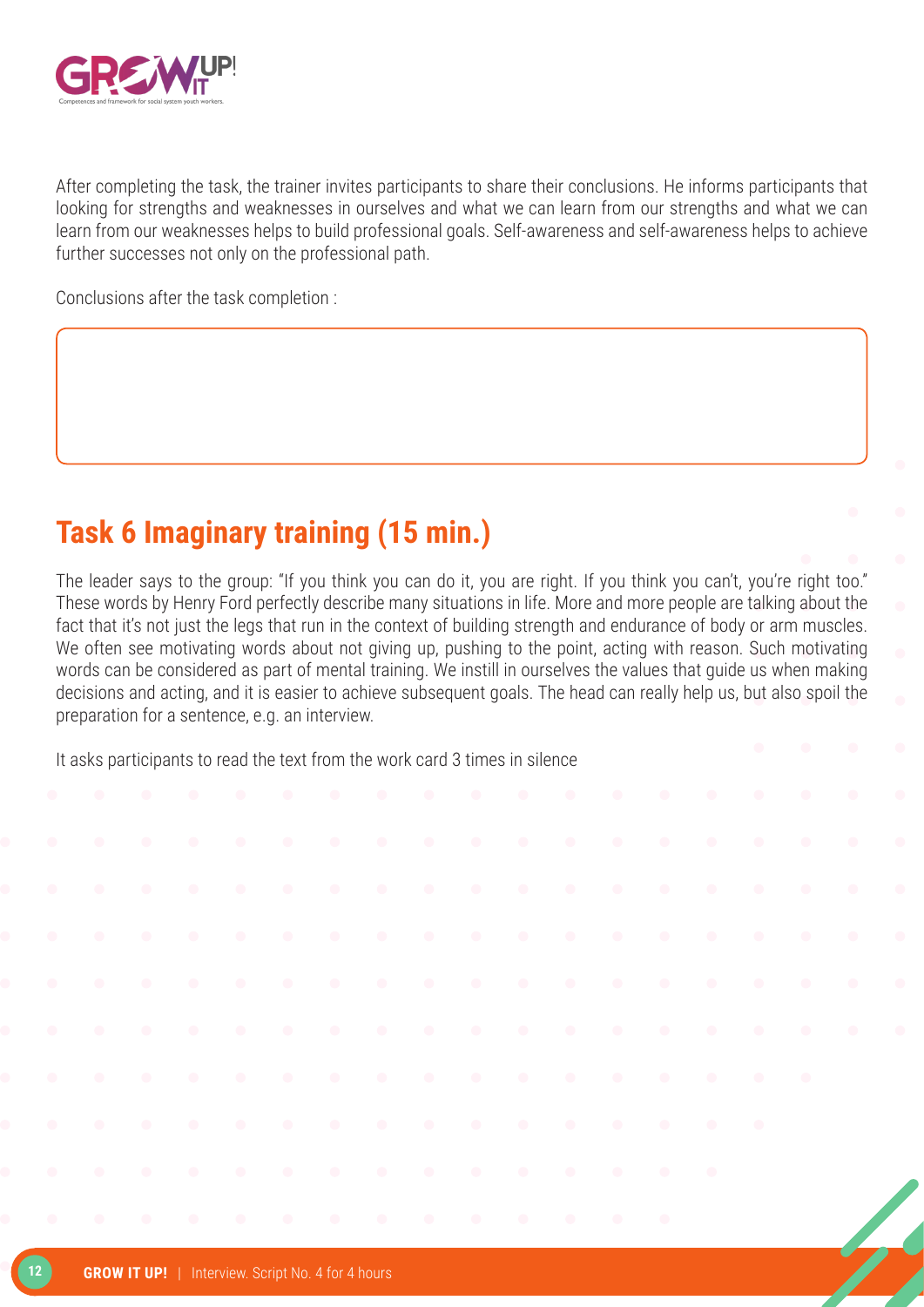

After completing the task, the trainer invites participants to share their conclusions. He informs participants that looking for strengths and weaknesses in ourselves and what we can learn from our strengths and what we can learn from our weaknesses helps to build professional goals. Self-awareness and self-awareness helps to achieve further successes not only on the professional path.

Conclusions after the task completion :

### **Task 6 Imaginary training (15 min.)**

The leader says to the group: "If you think you can do it, you are right. If you think you can't, you're right too." These words by Henry Ford perfectly describe many situations in life. More and more people are talking about the fact that it's not just the legs that run in the context of building strength and endurance of body or arm muscles. We often see motivating words about not giving up, pushing to the point, acting with reason. Such motivating words can be considered as part of mental training. We instill in ourselves the values that guide us when making decisions and acting, and it is easier to achieve subsequent goals. The head can really help us, but also spoil the preparation for a sentence, e.g. an interview.

It asks participants to read the text from the work card 3 times in silence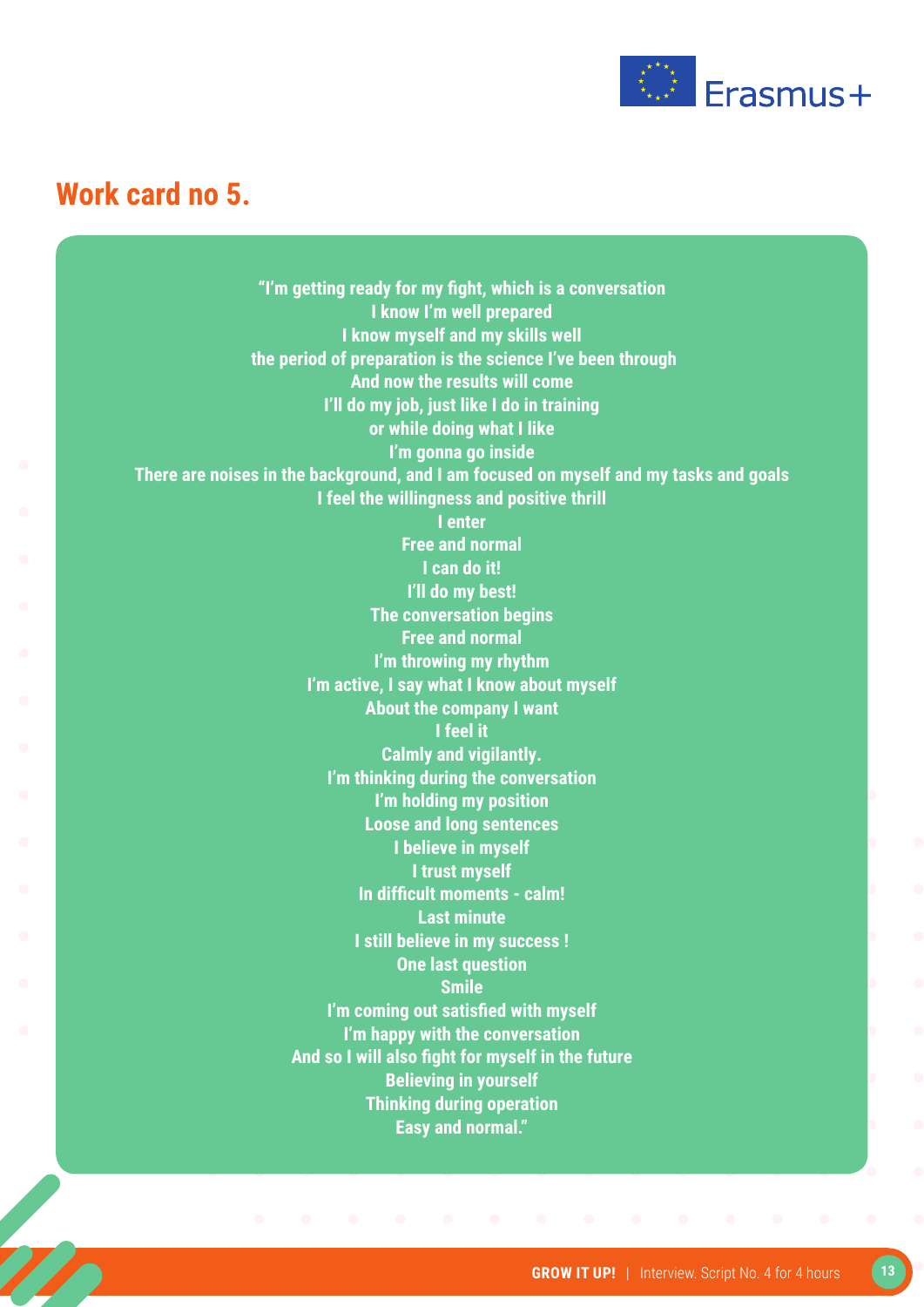

#### **Work card no 5.**

**"I'm getting ready for my fight, which is a conversation I know I'm well prepared I know myself and my skills well the period of preparation is the science I've been through And now the results will come I'll do my job, just like I do in training or while doing what I like I'm gonna go inside There are noises in the background, and I am focused on myself and my tasks and goals I feel the willingness and positive thrill I enter Free and normal I can do it! I'll do my best! The conversation begins Free and normal I'm throwing my rhythm I'm active, I say what I know about myself About the company I want I feel it Calmly and vigilantly. I'm thinking during the conversation I'm holding my position Loose and long sentences I believe in myself I trust myself In difficult moments - calm! Last minute I still believe in my success ! One last question Smile I'm coming out satisfied with myself I'm happy with the conversation And so I will also fight for myself in the future Believing in yourself Thinking during operation Easy and normal."**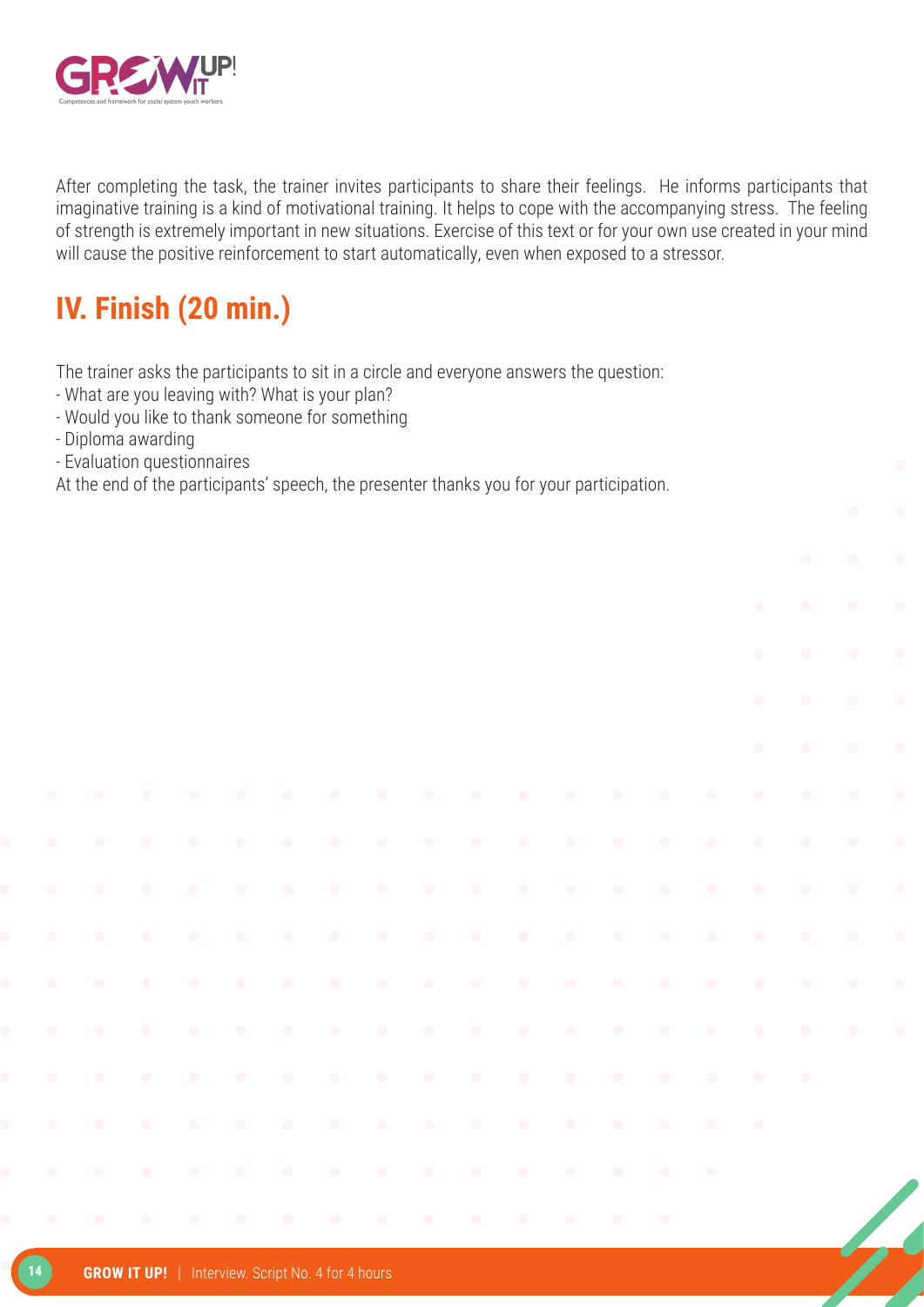

After completing the task, the trainer invites participants to share their feelings. He informs participants that imaginative training is a kind of motivational training. It helps to cope with the accompanying stress. The feeling of strength is extremely important in new situations. Exercise of this text or for your own use created in your mind will cause the positive reinforcement to start automatically, even when exposed to a stressor.

### **IV. Finish (20 min.)**

The trainer asks the participants to sit in a circle and everyone answers the question:

- What are you leaving with? What is your plan?
- Would you like to thank someone for something
- Diploma awarding
- Evaluation questionnaires

At the end of the participants' speech, the presenter thanks you for your participation.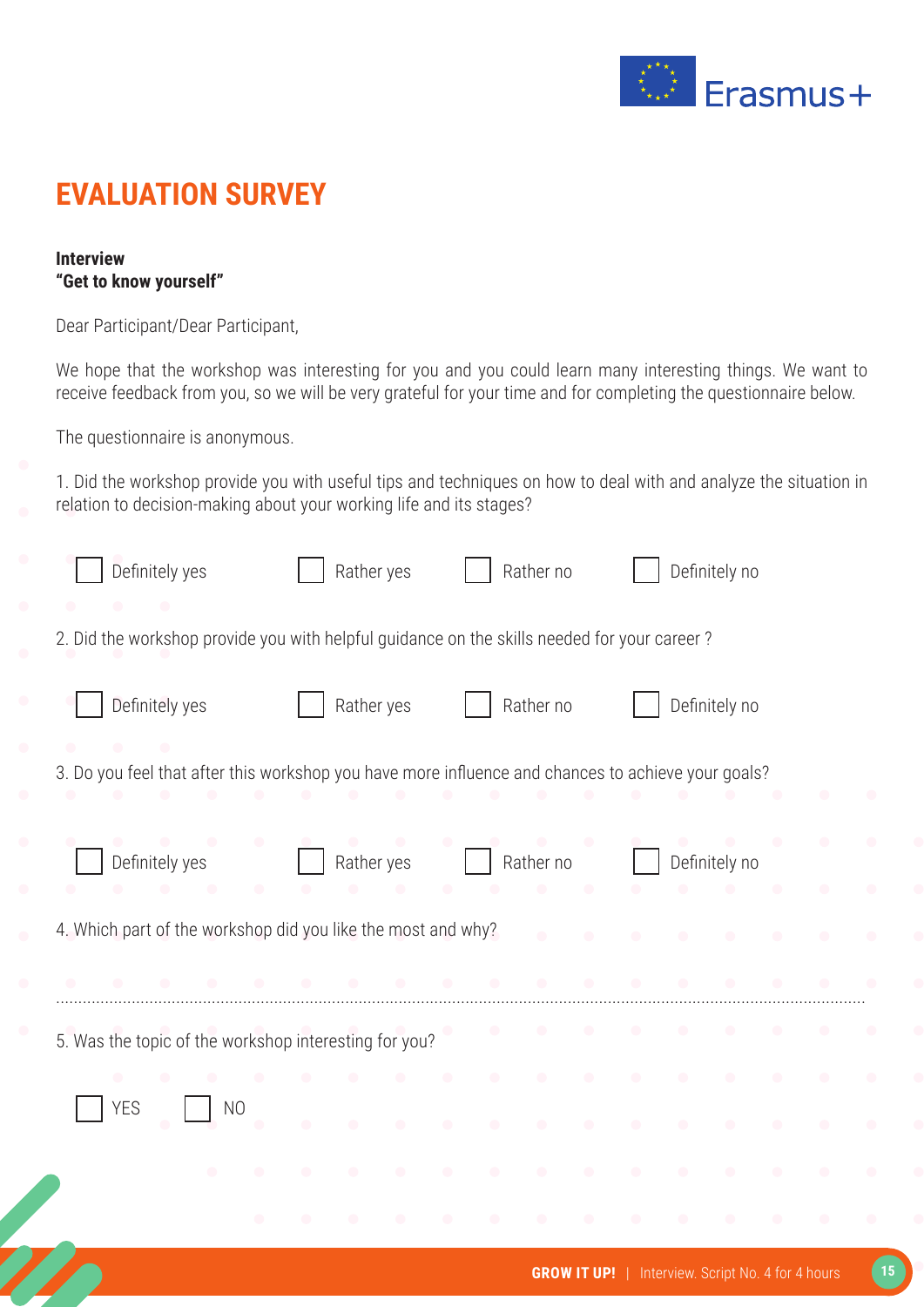

### **EVALUATION SURVEY**

#### **Interview "Get to know yourself"**

Dear Participant/Dear Participant,

We hope that the workshop was interesting for you and you could learn many interesting things. We want to receive feedback from you, so we will be very grateful for your time and for completing the questionnaire below.

The questionnaire is anonymous.

1. Did the workshop provide you with useful tips and techniques on how to deal with and analyze the situation in relation to decision-making about your working life and its stages?

| Definitely yes                                                                                     | Rather yes | Rather no              | Definitely no |  |
|----------------------------------------------------------------------------------------------------|------------|------------------------|---------------|--|
| 2. Did the workshop provide you with helpful guidance on the skills needed for your career?        |            |                        |               |  |
| Definitely yes                                                                                     | Rather yes | Rather no              | Definitely no |  |
| 3. Do you feel that after this workshop you have more influence and chances to achieve your goals? |            |                        |               |  |
| Definitely yes<br>$\bullet$                                                                        | Rather yes | Rather no<br>$\bullet$ | Definitely no |  |
| 4. Which part of the workshop did you like the most and why?                                       |            | $\blacksquare$         |               |  |
|                                                                                                    |            |                        |               |  |
| 5. Was the topic of the workshop interesting for you?                                              |            |                        |               |  |
| $\bullet$                                                                                          |            |                        |               |  |
| <b>YES</b><br>N <sub>O</sub>                                                                       | $\bullet$  | $\bullet$<br>$\bullet$ |               |  |
|                                                                                                    |            |                        |               |  |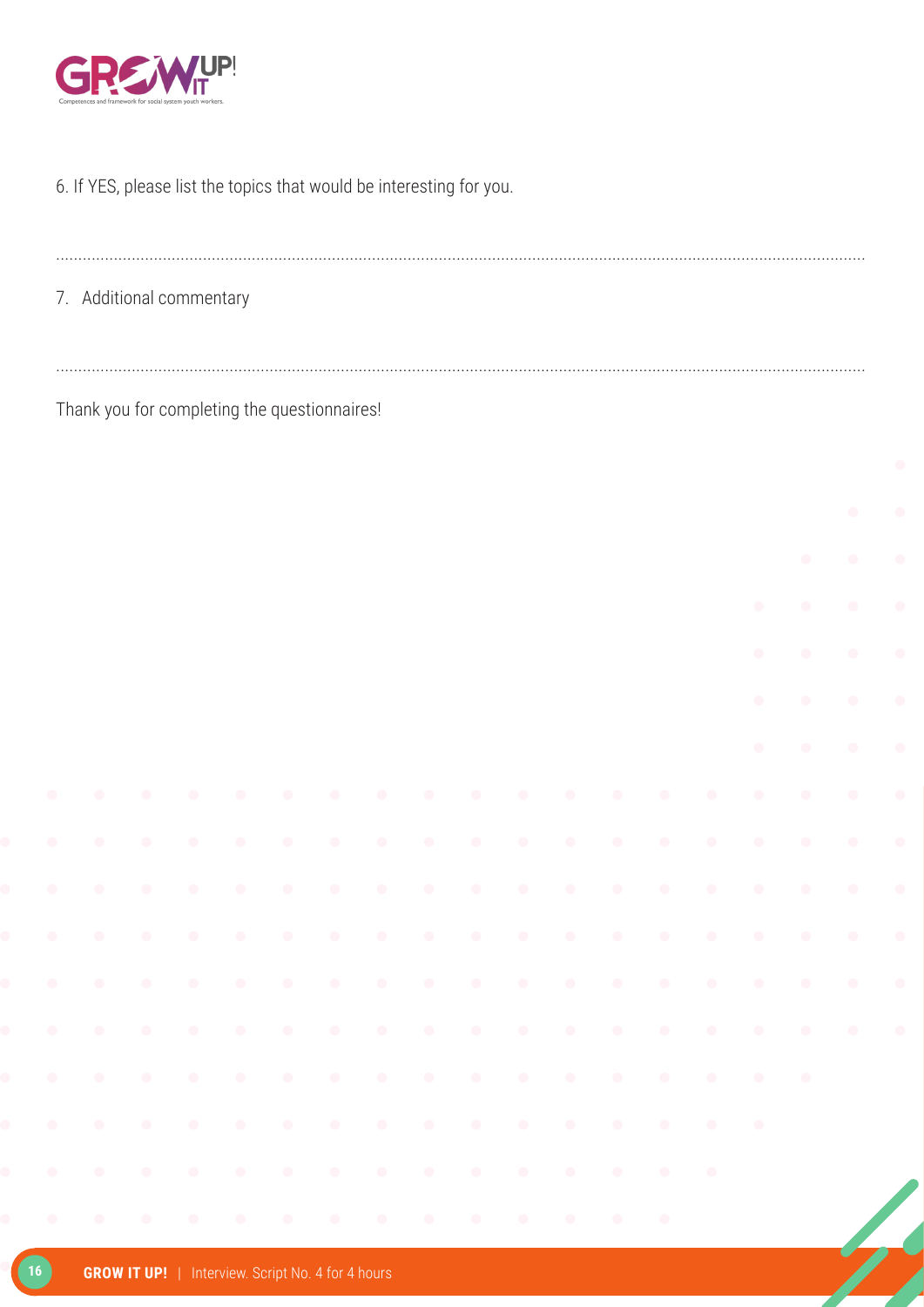

#### 6. If YES, please list the topics that would be interesting for you.

| 7. Additional commentary |  |
|--------------------------|--|

Thank you for completing the questionnaires!